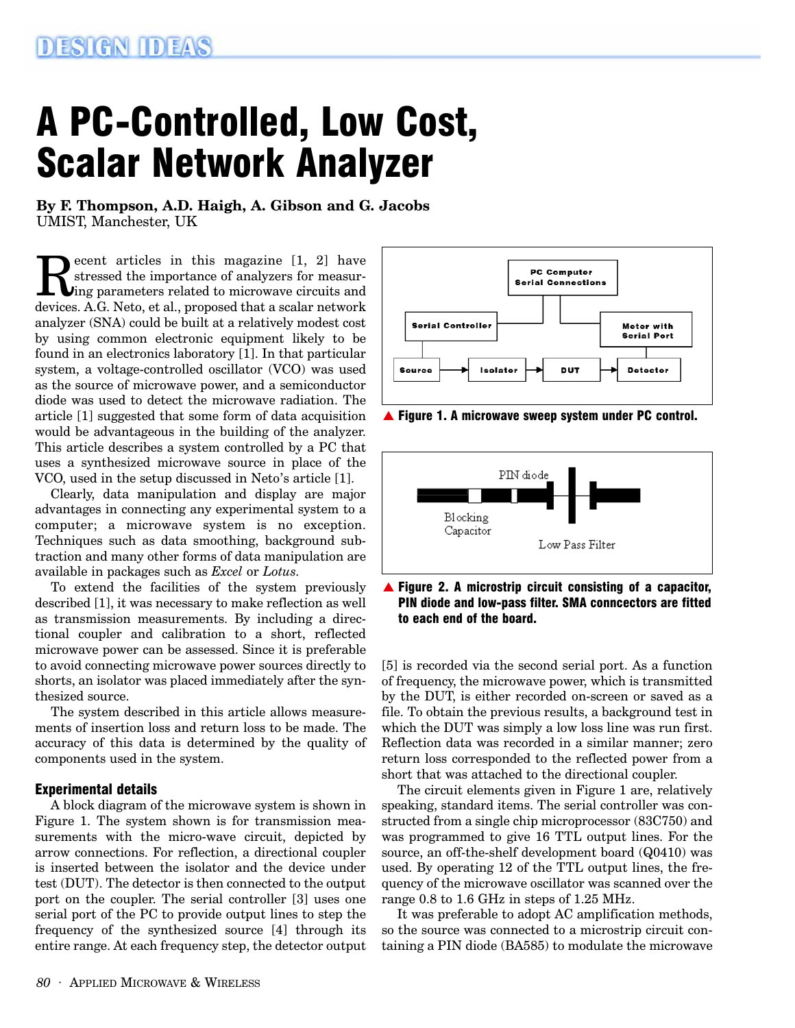# A PC-Controlled, Low Cost, Scalar Network Analyzer

**By F. Thompson, A.D. Haigh, A. Gibson and G. Jacobs** UMIST, Manchester, UK

Recent articles in this magazine [1, 2] have<br>stressed the importance of analyzers for measur-<br>devices A G Neto et al. proposed that a scalar network stressed the importance of analyzers for measurdevices. A.G. Neto, et al., proposed that a scalar network analyzer (SNA) could be built at a relatively modest cost by using common electronic equipment likely to be found in an electronics laboratory [1]. In that particular system, a voltage-controlled oscillator (VCO) was used as the source of microwave power, and a semiconductor diode was used to detect the microwave radiation. The article [1] suggested that some form of data acquisition would be advantageous in the building of the analyzer. This article describes a system controlled by a PC that uses a synthesized microwave source in place of the VCO, used in the setup discussed in Neto's article [1].

Clearly, data manipulation and display are major advantages in connecting any experimental system to a computer; a microwave system is no exception. Techniques such as data smoothing, background subtraction and many other forms of data manipulation are available in packages such as *Excel* or *Lotus.*

To extend the facilities of the system previously described [1], it was necessary to make reflection as well as transmission measurements. By including a directional coupler and calibration to a short, reflected microwave power can be assessed. Since it is preferable to avoid connecting microwave power sources directly to shorts, an isolator was placed immediately after the synthesized source.

The system described in this article allows measurements of insertion loss and return loss to be made. The accuracy of this data is determined by the quality of components used in the system.

### Experimental details

A block diagram of the microwave system is shown in Figure 1. The system shown is for transmission measurements with the micro-wave circuit, depicted by arrow connections. For reflection, a directional coupler is inserted between the isolator and the device under test (DUT). The detector is then connected to the output port on the coupler. The serial controller [3] uses one serial port of the PC to provide output lines to step the frequency of the synthesized source [4] through its entire range. At each frequency step, the detector output



▲ Figure 1. A microwave sweep system under PC control.



 $\triangle$  Figure 2. A microstrip circuit consisting of a capacitor, PIN diode and low-pass filter. SMA conncectors are fitted to each end of the board.

[5] is recorded via the second serial port. As a function of frequency, the microwave power, which is transmitted by the DUT, is either recorded on-screen or saved as a file. To obtain the previous results, a background test in which the DUT was simply a low loss line was run first. Reflection data was recorded in a similar manner; zero return loss corresponded to the reflected power from a short that was attached to the directional coupler.

The circuit elements given in Figure 1 are, relatively speaking, standard items. The serial controller was constructed from a single chip microprocessor (83C750) and was programmed to give 16 TTL output lines. For the source, an off-the-shelf development board (Q0410) was used. By operating 12 of the TTL output lines, the frequency of the microwave oscillator was scanned over the range 0.8 to 1.6 GHz in steps of 1.25 MHz.

It was preferable to adopt AC amplification methods, so the source was connected to a microstrip circuit containing a PIN diode (BA585) to modulate the microwave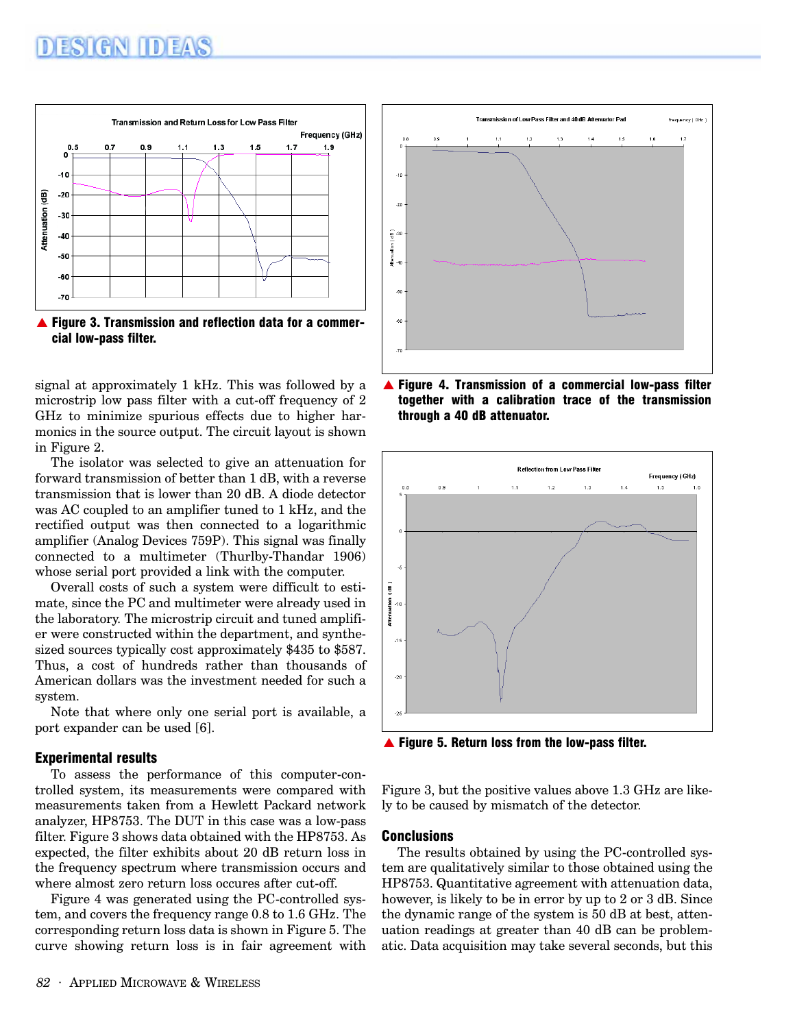

signal at approximately 1 kHz. This was followed by a microstrip low pass filter with a cut-off frequency of 2 GHz to minimize spurious effects due to higher harmonics in the source output. The circuit layout is shown in Figure 2.

The isolator was selected to give an attenuation for forward transmission of better than 1 dB, with a reverse transmission that is lower than 20 dB. A diode detector was AC coupled to an amplifier tuned to 1 kHz, and the rectified output was then connected to a logarithmic amplifier (Analog Devices 759P). This signal was finally connected to a multimeter (Thurlby-Thandar 1906) whose serial port provided a link with the computer.

Overall costs of such a system were difficult to estimate, since the PC and multimeter were already used in the laboratory. The microstrip circuit and tuned amplifier were constructed within the department, and synthesized sources typically cost approximately \$435 to \$587. Thus, a cost of hundreds rather than thousands of American dollars was the investment needed for such a system.

Note that where only one serial port is available, a port expander can be used [6].

### Experimental results

To assess the performance of this computer-controlled system, its measurements were compared with measurements taken from a Hewlett Packard network analyzer, HP8753. The DUT in this case was a low-pass filter. Figure 3 shows data obtained with the HP8753. As expected, the filter exhibits about 20 dB return loss in the frequency spectrum where transmission occurs and where almost zero return loss occures after cut-off.

Figure 4 was generated using the PC-controlled system, and covers the frequency range 0.8 to 1.6 GHz. The corresponding return loss data is shown in Figure 5. The curve showing return loss is in fair agreement with



Figure 4. Transmission of a commercial low-pass filter together with a calibration trace of the transmission through a 40 dB attenuator.



▲ Figure 5. Return loss from the low-pass filter.

Figure 3, but the positive values above 1.3 GHz are likely to be caused by mismatch of the detector.

### Conclusions

The results obtained by using the PC-controlled system are qualitatively similar to those obtained using the HP8753. Quantitative agreement with attenuation data, however, is likely to be in error by up to 2 or 3 dB. Since the dynamic range of the system is 50 dB at best, attenuation readings at greater than 40 dB can be problematic. Data acquisition may take several seconds, but this